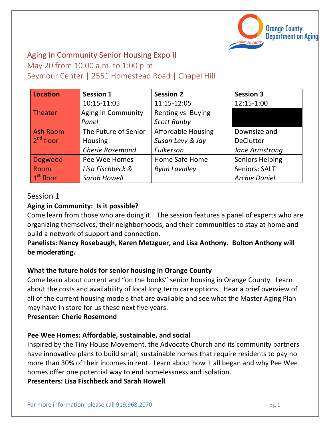

# Aging in Community Senior Housing Expo II

May 20 from 10:00 a.m. to 1:00 p.m.

Seymour Center | 2551 Homestead Road | Chapel Hill

| <b>Location</b> | <b>Session 1</b>       | <b>Session 2</b>          | <b>Session 3</b>       |
|-----------------|------------------------|---------------------------|------------------------|
|                 | 10:15-11:05            | 11:15-12:05               | 12:15-1:00             |
| Theater         | Aging in Community     | Renting vs. Buying        |                        |
|                 | Panel                  | <b>Scott Ranby</b>        |                        |
| <b>Ash Room</b> | The Future of Senior   | <b>Affordable Housing</b> | Downsize and           |
| $2nd$ floor     | <b>Housing</b>         | Susan Levy & Jay          | <b>DeClutter</b>       |
|                 | <b>Cherie Rosemond</b> | Fulkerson                 | Jane Armstrong         |
| Dogwood         | Pee Wee Homes          | Home Safe Home            | <b>Seniors Helping</b> |
| Room            | Lisa Fischbeck &       | <b>Ryan Lavalley</b>      | <b>Seniors: SALT</b>   |
| $1st$ floor     | <b>Sarah Howell</b>    |                           | <b>Archie Daniel</b>   |

# Session 1

# Aging in Community: Is it possible?

Come learn from those who are doing it. The session features a panel of experts who are organizing themselves, their neighborhoods, and their communities to stay at home and build a network of support and connection.

Panelists: Nancy Rosebaugh, Karen Metzguer, and Lisa Anthony. Bolton Anthony will be moderating.

# **What the future holds for senior housing in Orange County**

Come learn about current and "on the books" senior housing in Orange County. Learn about the costs and availability of local long term care options. Hear a brief overview of all of the current housing models that are available and see what the Master Aging Plan may have in store for us these next five years.

# **Presenter: Cherie Rosemond**

# **Pee Wee Homes: Affordable, sustainable, and social**

Inspired by the Tiny House Movement, the Advocate Church and its community partners have innovative plans to build small, sustainable homes that require residents to pay no more than 30% of their incomes in rent. Learn about how it all began and why Pee Wee homes offer one potential way to end homelessness and isolation.

**Presenters: Lisa Fischbeck and Sarah Howell**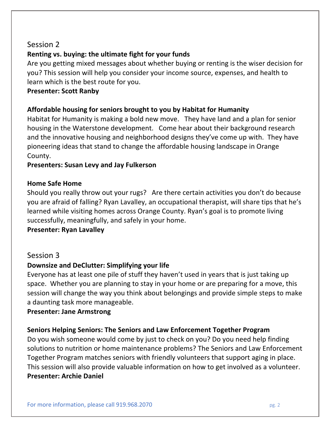# Session 2

# **Renting vs. buying: the ultimate fight for your funds**

Are you getting mixed messages about whether buying or renting is the wiser decision for you? This session will help you consider your income source, expenses, and health to learn which is the best route for you.

## **Presenter: Scott Ranby**

## Affordable housing for seniors brought to you by Habitat for Humanity

Habitat for Humanity is making a bold new move. They have land and a plan for senior housing in the Waterstone development. Come hear about their background research and the innovative housing and neighborhood designs they've come up with. They have pioneering ideas that stand to change the affordable housing landscape in Orange County.

## Presenters: Susan Levy and Jay Fulkerson

### **Home Safe Home**

learned while visiting homes across Orange County. Ryan's goal is to promote living Should you really throw out your rugs? Are there certain activities you don't do because you are afraid of falling? Ryan Lavalley, an occupational therapist, will share tips that he's successfully, meaningfully, and safely in your home.

### **Presenter: Ryan Lavalley**

## Session 3

## **Downsize and DeClutter: Simplifying your life**

Everyone has at least one pile of stuff they haven't used in years that is just taking up space. Whether you are planning to stay in your home or are preparing for a move, this session will change the way you think about belongings and provide simple steps to make a daunting task more manageable.

## **Presenter: Jane Armstrong**

## **Seniors Helping Seniors: The Seniors and Law Enforcement Together Program**

Do you wish someone would come by just to check on you? Do you need help finding solutions to nutrition or home maintenance problems? The Seniors and Law Enforcement Together Program matches seniors with friendly volunteers that support aging in place. This session will also provide valuable information on how to get involved as a volunteer. **Presenter: Archie Daniel**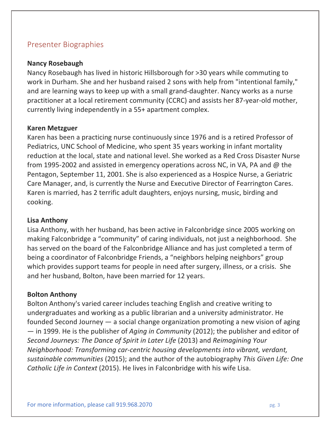# Presenter Biographies

### **Nancy Rosebaugh**

Nancy Rosebaugh has lived in historic Hillsborough for >30 years while commuting to work in Durham. She and her husband raised 2 sons with help from "intentional family," and are learning ways to keep up with a small grand-daughter. Nancy works as a nurse practitioner at a local retirement community (CCRC) and assists her 87-year-old mother, currently living independently in a 55+ apartment complex.

### **Karen(Metzguer**

Karen has been a practicing nurse continuously since 1976 and is a retired Professor of Pediatrics, UNC School of Medicine, who spent 35 years working in infant mortality reduction at the local, state and national level. She worked as a Red Cross Disaster Nurse from 1995-2002 and assisted in emergency operations across NC, in VA, PA and @ the Pentagon, September 11, 2001. She is also experienced as a Hospice Nurse, a Geriatric Care Manager, and, is currently the Nurse and Executive Director of Fearrington Cares. Karen is married, has 2 terrific adult daughters, enjoys nursing, music, birding and cooking.

#### **Lisa Anthony**

Lisa Anthony, with her husband, has been active in Falconbridge since 2005 working on making Falconbridge a "community" of caring individuals, not just a neighborhood. She has served on the board of the Falconbridge Alliance and has just completed a term of being a coordinator of Falconbridge Friends, a "neighbors helping neighbors" group which provides support teams for people in need after surgery, illness, or a crisis. She and her husband, Bolton, have been married for 12 years.

#### **Bolton Anthony**

Bolton Anthony's varied career includes teaching English and creative writing to undergraduates and working as a public librarian and a university administrator. He founded Second Journey — a social change organization promoting a new vision of aging  $-$  in 1999. He is the publisher of *Aging in Community* (2012); the publisher and editor of *Second\*Journeys:\*The\*Dance\*of\*Spirit\*in\*Later\*Life* (2013)\$and\$*Reimagining\*Your\* Neighborhood: Transforming car-centric housing developments into vibrant, verdant,* sustainable communities (2015); and the author of the autobiography *This Given Life: One Catholic Life in Context* (2015). He lives in Falconbridge with his wife Lisa.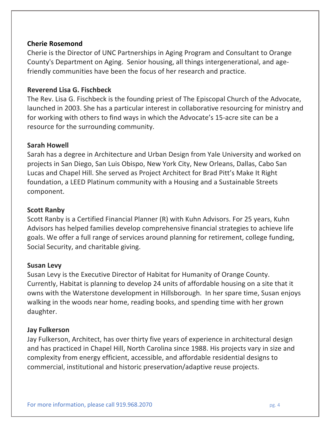## **Cherie Rosemond**

Cherie is the Director of UNC Partnerships in Aging Program and Consultant to Orange County's Department on Aging. Senior housing, all things intergenerational, and agefriendly communities have been the focus of her research and practice.

## **Reverend Lisa G. Fischbeck**

The Rev. Lisa G. Fischbeck is the founding priest of The Episcopal Church of the Advocate, launched in 2003. She has a particular interest in collaborative resourcing for ministry and for working with others to find ways in which the Advocate's 15-acre site can be a resource for the surrounding community.

# **Sarah Howell**

Sarah has a degree in Architecture and Urban Design from Yale University and worked on projects in San Diego, San Luis Obispo, New York City, New Orleans, Dallas, Cabo San Lucas and Chapel Hill. She served as Project Architect for Brad Pitt's Make It Right foundation, a LEED Platinum community with a Housing and a Sustainable Streets component.

## **Scott Ranby**

 $\frac{1}{2}$ Scott Ranby is a Certified Financial Planner (R) with Kuhn Advisors. For 25 years, Kuhn Advisors has helped families develop comprehensive financial strategies to achieve life goals. We offer a full range of services around planning for retirement, college funding, Social Security, and charitable giving.

# **Susan Levy**

Susan Levy is the Executive Director of Habitat for Humanity of Orange County. Currently, Habitat is planning to develop 24 units of affordable housing on a site that it owns with the Waterstone development in Hillsborough. In her spare time, Susan enjoys walking in the woods near home, reading books, and spending time with her grown daughter.

# **Jay(Fulkerson**

Jay Fulkerson, Architect, has over thirty five years of experience in architectural design and has practiced in Chapel Hill, North Carolina since 1988. His projects vary in size and complexity from energy efficient, accessible, and affordable residential designs to commercial, institutional and historic preservation/adaptive reuse projects.